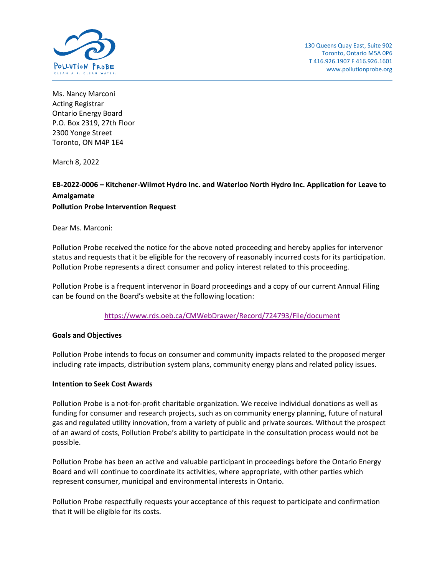

Ms. Nancy Marconi Acting Registrar Ontario Energy Board P.O. Box 2319, 27th Floor 2300 Yonge Street Toronto, ON M4P 1E4

March 8, 2022

# **EB-2022-0006 – Kitchener-Wilmot Hydro Inc. and Waterloo North Hydro Inc. Application for Leave to Amalgamate Pollution Probe Intervention Request**

Dear Ms. Marconi:

Pollution Probe received the notice for the above noted proceeding and hereby applies for intervenor status and requests that it be eligible for the recovery of reasonably incurred costs for its participation. Pollution Probe represents a direct consumer and policy interest related to this proceeding.

Pollution Probe is a frequent intervenor in Board proceedings and a copy of our current Annual Filing can be found on the Board's website at the following location:

## <https://www.rds.oeb.ca/CMWebDrawer/Record/724793/File/document>

## **Goals and Objectives**

Pollution Probe intends to focus on consumer and community impacts related to the proposed merger including rate impacts, distribution system plans, community energy plans and related policy issues.

### **Intention to Seek Cost Awards**

Pollution Probe is a not-for-profit charitable organization. We receive individual donations as well as funding for consumer and research projects, such as on community energy planning, future of natural gas and regulated utility innovation, from a variety of public and private sources. Without the prospect of an award of costs, Pollution Probe's ability to participate in the consultation process would not be possible.

Pollution Probe has been an active and valuable participant in proceedings before the Ontario Energy Board and will continue to coordinate its activities, where appropriate, with other parties which represent consumer, municipal and environmental interests in Ontario.

Pollution Probe respectfully requests your acceptance of this request to participate and confirmation that it will be eligible for its costs.